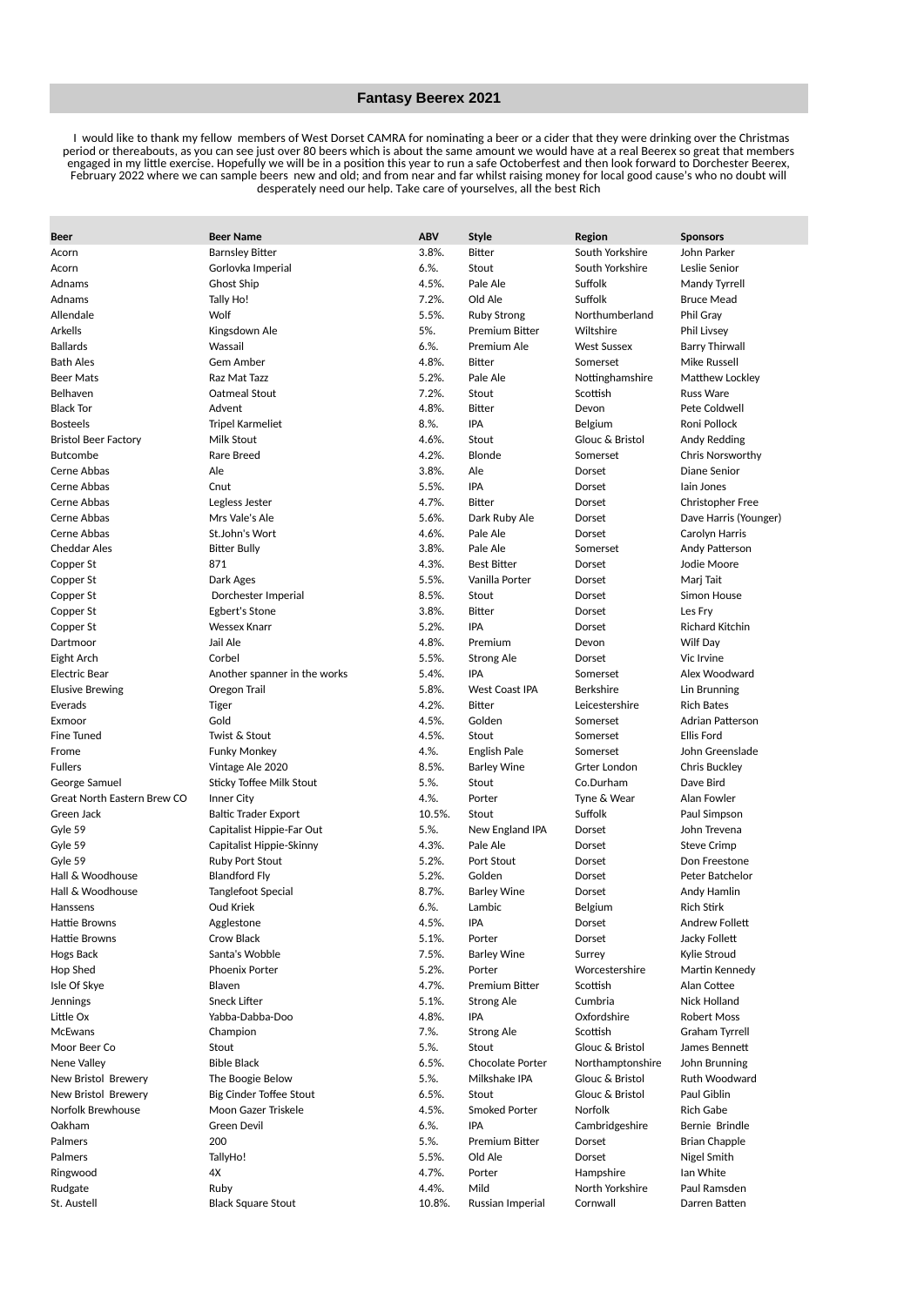## **Fantasy Beerex 2021**

 I would like to thank my fellow members of West Dorset CAMRA for nominating a beer or a cider that they were drinking over the Christmas period or thereabouts, as you can see just over 80 beers which is about the same amount we would have at a real Beerex so great that members engaged in my little exercise. Hopefully we will be in a position this year to run a safe Octoberfest and then look forward to Dorchester Beerex, February 2022 where we can sample beers new and old; and from near and far whilst raising money for local good cause's who no doubt will desperately need our help. Take care of yourselves, all the best Rich

| <b>Beer</b>                 | <b>Beer Name</b>             | <b>ABV</b> | <b>Style</b>          | Region             | <b>Sponsors</b>         |
|-----------------------------|------------------------------|------------|-----------------------|--------------------|-------------------------|
| Acorn                       | <b>Barnsley Bitter</b>       | $3.8\%$ .  | <b>Bitter</b>         | South Yorkshire    | John Parker             |
| Acorn                       | Gorlovka Imperial            | 6.%        | Stout                 | South Yorkshire    | Leslie Senior           |
| Adnams                      | Ghost Ship                   | 4.5%.      | Pale Ale              | Suffolk            | Mandy Tyrrell           |
| Adnams                      | Tally Ho!                    | 7.2%.      | Old Ale               | Suffolk            | <b>Bruce Mead</b>       |
| Allendale                   | Wolf                         | 5.5%.      | <b>Ruby Strong</b>    | Northumberland     | Phil Gray               |
| Arkells                     | Kingsdown Ale                | 5%.        | <b>Premium Bitter</b> | Wiltshire          | <b>Phil Livsey</b>      |
| <b>Ballards</b>             | Wassail                      | 6.%        | Premium Ale           | <b>West Sussex</b> | <b>Barry Thirwall</b>   |
| <b>Bath Ales</b>            | Gem Amber                    | 4.8%.      | <b>Bitter</b>         | Somerset           | Mike Russell            |
| <b>Beer Mats</b>            | Raz Mat Tazz                 | 5.2%.      | Pale Ale              | Nottinghamshire    | Matthew Lockley         |
| Belhaven                    | Oatmeal Stout                | 7.2%.      | Stout                 | Scottish           | <b>Russ Ware</b>        |
| <b>Black Tor</b>            | Advent                       | 4.8%.      | <b>Bitter</b>         | Devon              | Pete Coldwell           |
| <b>Bosteels</b>             | <b>Tripel Karmeliet</b>      | 8.%.       | IPA                   | Belgium            | Roni Pollock            |
| <b>Bristol Beer Factory</b> | Milk Stout                   | 4.6%.      | Stout                 | Glouc & Bristol    | Andy Redding            |
| <b>Butcombe</b>             | Rare Breed                   | 4.2%.      | Blonde                | Somerset           | <b>Chris Norsworthy</b> |
| Cerne Abbas                 | Ale                          | 3.8%.      | Ale                   | Dorset             | Diane Senior            |
| Cerne Abbas                 | Cnut                         | 5.5%.      | IPA                   | Dorset             | Iain Jones              |
| Cerne Abbas                 | Legless Jester               | 4.7%.      | <b>Bitter</b>         | Dorset             | <b>Christopher Free</b> |
| Cerne Abbas                 | Mrs Vale's Ale               | 5.6%.      | Dark Ruby Ale         | Dorset             | Dave Harris (Younger)   |
| Cerne Abbas                 | St.John's Wort               | 4.6%.      | Pale Ale              | Dorset             | Carolyn Harris          |
| <b>Cheddar Ales</b>         | <b>Bitter Bully</b>          | 3.8%.      | Pale Ale              | Somerset           | Andy Patterson          |
| Copper St                   | 871                          | 4.3%.      | <b>Best Bitter</b>    | Dorset             | Jodie Moore             |
| Copper St                   | Dark Ages                    | 5.5%.      | Vanilla Porter        | Dorset             | Marj Tait               |
| Copper St                   | Dorchester Imperial          | 8.5%.      | Stout                 | Dorset             | Simon House             |
| Copper St                   | <b>Egbert's Stone</b>        | 3.8%.      | <b>Bitter</b>         | Dorset             | Les Frv                 |
| Copper St                   | <b>Wessex Knarr</b>          | 5.2%.      | <b>IPA</b>            | Dorset             | Richard Kitchin         |
| Dartmoor                    | Jail Ale                     | 4.8%.      | Premium               | Devon              | Wilf Day                |
| Eight Arch                  | Corbel                       | 5.5%.      | Strong Ale            | Dorset             | Vic Irvine              |
| Electric Bear               | Another spanner in the works | 5.4%.      | <b>IPA</b>            | Somerset           | Alex Woodward           |
| <b>Elusive Brewing</b>      | Oregon Trail                 | 5.8%.      | <b>West Coast IPA</b> | <b>Berkshire</b>   | Lin Brunning            |
| Everads                     | Tiger                        | 4.2%.      | <b>Bitter</b>         | Leicestershire     | <b>Rich Bates</b>       |
| Exmoor                      | Gold                         | 4.5%.      | Golden                | Somerset           | Adrian Patterson        |
| Fine Tuned                  | Twist & Stout                | 4.5%.      | Stout                 | Somerset           | <b>Ellis Ford</b>       |
| Frome                       | <b>Funky Monkey</b>          | 4.%.       | English Pale          | Somerset           | John Greenslade         |
| <b>Fullers</b>              | Vintage Ale 2020             | 8.5%.      | <b>Barley Wine</b>    | Grter London       | <b>Chris Buckley</b>    |
| George Samuel               | Sticky Toffee Milk Stout     | 5.%        | Stout                 | Co.Durham          | Dave Bird               |
| Great North Eastern Brew CO | Inner City                   | 4.%.       | Porter                | Tyne & Wear        | Alan Fowler             |
| Green Jack                  | <b>Baltic Trader Export</b>  | 10.5%.     | Stout                 | Suffolk            | Paul Simpson            |
| Gyle 59                     | Capitalist Hippie-Far Out    | 5.%.       | New England IPA       | Dorset             | John Trevena            |
| Gyle 59                     | Capitalist Hippie-Skinny     | 4.3%.      | Pale Ale              | Dorset             | <b>Steve Crimp</b>      |
| Gyle 59                     | <b>Ruby Port Stout</b>       | 5.2%.      | Port Stout            | Dorset             | Don Freestone           |
| Hall & Woodhouse            | <b>Blandford Fly</b>         | 5.2%.      | Golden                | Dorset             | Peter Batchelor         |
| Hall & Woodhouse            | Tanglefoot Special           | 8.7%.      | <b>Barley Wine</b>    | Dorset             | Andy Hamlin             |
| Hanssens                    | Oud Kriek                    | 6.%        | Lambic                | Belgium            | <b>Rich Stirk</b>       |
| Hattie Browns               | Agglestone                   | 4.5%.      | IPA                   | Dorset             | Andrew Follett          |
| Hattie Browns               | Crow Black                   | 5.1%.      | Porter                | Dorset             | Jacky Follett           |
| Hogs Back                   | Santa's Wobble               | $7.5%$ .   | <b>Barley Wine</b>    | Surrey             | Kylie Stroud            |
| Hop Shed                    | Phoenix Porter               | 5.2%.      | Porter                | Worcestershire     | Martin Kennedy          |
| Isle Of Skye                | Blaven                       | 4.7%.      | Premium Bitter        | Scottish           | Alan Cottee             |
| <b>Jennings</b>             | Sneck Lifter                 | 5.1%.      | <b>Strong Ale</b>     | Cumbria            | Nick Holland            |
| Little Ox                   | Yabba-Dabba-Doo              | 4.8%.      | IPA                   | Oxfordshire        | Robert Moss             |
| <b>McEwans</b>              | Champion                     | 7.%        | <b>Strong Ale</b>     | Scottish           | Graham Tyrrell          |
| Moor Beer Co                | Stout                        | 5.%        | Stout                 | Glouc & Bristol    | James Bennett           |
| Nene Valley                 | <b>Bible Black</b>           | 6.5%       | Chocolate Porter      | Northamptonshire   | John Brunning           |
| New Bristol Brewery         | The Boogie Below             | 5.%        | Milkshake IPA         | Glouc & Bristol    | Ruth Woodward           |
| New Bristol Brewery         | Big Cinder Toffee Stout      | 6.5%       | Stout                 | Glouc & Bristol    | Paul Giblin             |
| Norfolk Brewhouse           | Moon Gazer Triskele          | 4.5%.      | Smoked Porter         | Norfolk            | Rich Gabe               |
| Oakham                      | Green Devil                  | $6. \%$ .  | IPA                   | Cambridgeshire     | Bernie Brindle          |
| Palmers                     | 200                          | 5.%.       | Premium Bitter        | Dorset             | Brian Chapple           |
| Palmers                     | TallyHo!                     | 5.5%.      | Old Ale               | Dorset             | Nigel Smith             |
| Ringwood                    | 4X                           | 4.7%.      | Porter                | Hampshire          | Ian White               |
| Rudgate                     | Ruby                         | 4.4%.      | Mild                  | North Yorkshire    | Paul Ramsden            |
| St. Austell                 | <b>Black Square Stout</b>    | 10.8%.     | Russian Imperial      | Cornwall           | Darren Batten           |